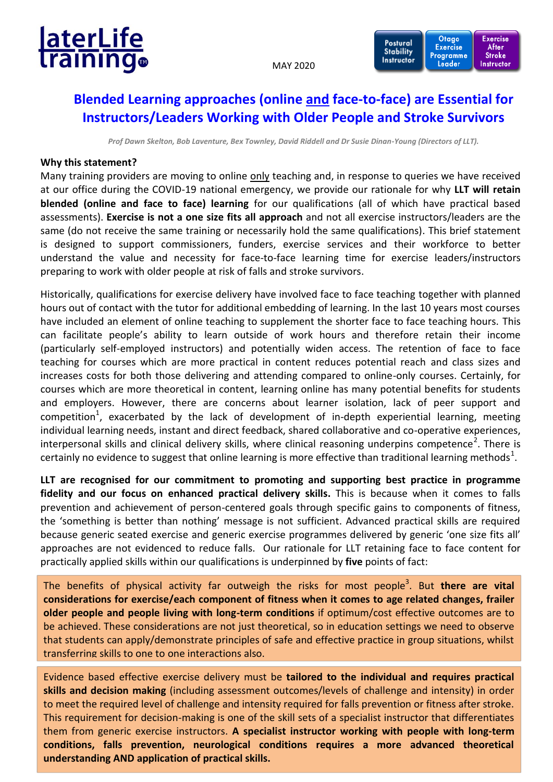

MAY 2020



**Exercise** 

## **Blended Learning approaches (online and face-to-face) are Essential for Instructors/Leaders Working with Older People and Stroke Survivors**

*Prof Dawn Skelton, Bob Laventure, Bex Townley, David Riddell and Dr Susie Dinan-Young (Directors of LLT).* 

## **Why this statement?**

Many training providers are moving to online only teaching and, in response to queries we have received at our office during the COVID-19 national emergency, we provide our rationale for why **LLT will retain blended (online and face to face) learning** for our qualifications (all of which have practical based assessments). **Exercise is not a one size fits all approach** and not all exercise instructors/leaders are the same (do not receive the same training or necessarily hold the same qualifications). This brief statement is designed to support commissioners, funders, exercise services and their workforce to better understand the value and necessity for face-to-face learning time for exercise leaders/instructors preparing to work with older people at risk of falls and stroke survivors.

Historically, qualifications for exercise delivery have involved face to face teaching together with planned hours out of contact with the tutor for additional embedding of learning. In the last 10 years most courses have included an element of online teaching to supplement the shorter face to face teaching hours. This can facilitate people's ability to learn outside of work hours and therefore retain their income (particularly self-employed instructors) and potentially widen access. The retention of face to face teaching for courses which are more practical in content reduces potential reach and class sizes and increases costs for both those delivering and attending compared to online-only courses. Certainly, for courses which are more theoretical in content, learning online has many potential benefits for students and employers. However, there are concerns about learner isolation, lack of peer support and competition<sup>1</sup>, exacerbated by the lack of development of in-depth experiential learning, meeting individual learning needs, instant and direct feedback, shared collaborative and co-operative experiences, interpersonal skills and clinical delivery skills, where clinical reasoning underpins competence<sup>2</sup>. There is certainly no evidence to suggest that online learning is more effective than traditional learning methods $^1$ .

**LLT are recognised for our commitment to promoting and supporting best practice in programme fidelity and our focus on enhanced practical delivery skills.** This is because when it comes to falls prevention and achievement of person-centered goals through specific gains to components of fitness, the 'something is better than nothing' message is not sufficient. Advanced practical skills are required because generic seated exercise and generic exercise programmes delivered by generic 'one size fits all' approaches are not evidenced to reduce falls. Our rationale for LLT retaining face to face content for practically applied skills within our qualifications is underpinned by **five** points of fact:

The benefits of physical activity far outweigh the risks for most people<sup>3</sup>. But **there are vital considerations for exercise/each component of fitness when it comes to age related changes, frailer older people and people living with long-term conditions** if optimum/cost effective outcomes are to be achieved. These considerations are not just theoretical, so in education settings we need to observe that students can apply/demonstrate principles of safe and effective practice in group situations, whilst transferring skills to one to one interactions also.

conditions, falls prevention, neurological conditions requires a more advanced theoretical Evidence based effective exercise delivery must be **tailored to the individual and requires practical skills and decision making** (including assessment outcomes/levels of challenge and intensity) in order to meet the required level of challenge and intensity required for falls prevention or fitness after stroke. This requirement for decision-making is one of the skill sets of a specialist instructor that differentiates them from generic exercise instructors. **A specialist instructor working with people with long-term understanding AND application of practical skills.**